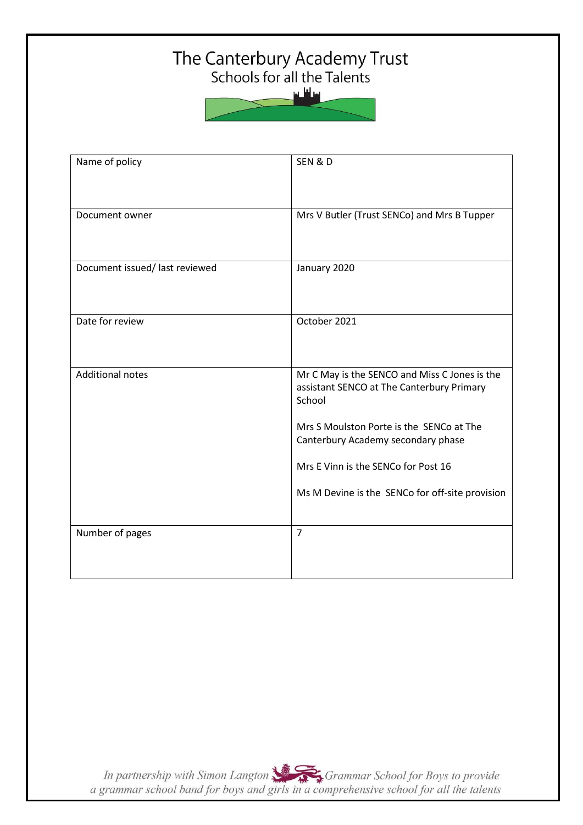# The Canterbury Academy Trust<br>Schools for all the Talents



| Name of policy                 | SEN & D                                                                                    |
|--------------------------------|--------------------------------------------------------------------------------------------|
| Document owner                 | Mrs V Butler (Trust SENCo) and Mrs B Tupper                                                |
| Document issued/ last reviewed | January 2020                                                                               |
| Date for review                | October 2021                                                                               |
| <b>Additional notes</b>        | Mr C May is the SENCO and Miss C Jones is the<br>assistant SENCO at The Canterbury Primary |
|                                | School<br>Mrs S Moulston Porte is the SENCo at The                                         |
|                                | Canterbury Academy secondary phase<br>Mrs E Vinn is the SENCo for Post 16                  |
|                                | Ms M Devine is the SENCo for off-site provision                                            |
| Number of pages                | $\overline{7}$                                                                             |

In partnership with Simon Langton Sexting Grammar School for Boys to provide<br>a grammar school band for boys and girls in a comprehensive school for all the talents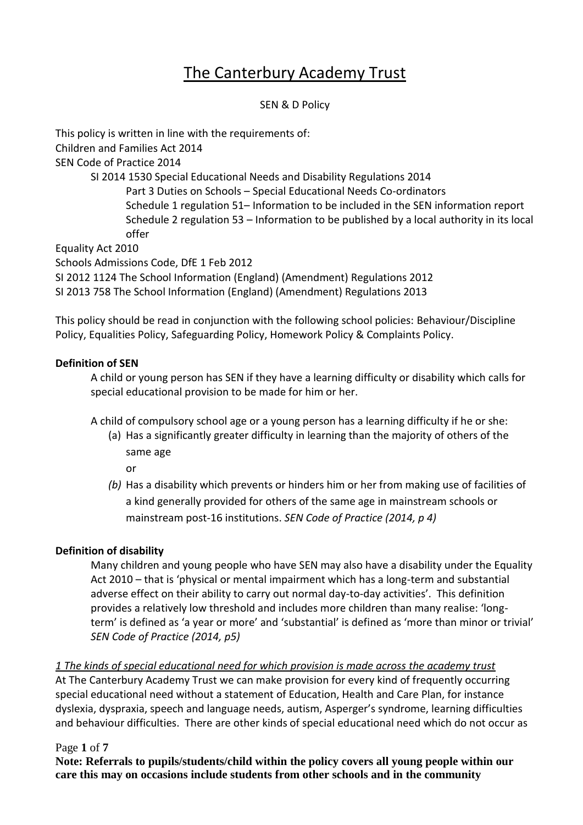# The Canterbury Academy Trust

#### SEN & D Policy

This policy is written in line with the requirements of: Children and Families Act 2014 SEN Code of Practice 2014 SI 2014 1530 Special Educational Needs and Disability Regulations 2014 Part 3 Duties on Schools – Special Educational Needs Co-ordinators Schedule 1 regulation 51– Information to be included in the SEN information report Schedule 2 regulation 53 – Information to be published by a local authority in its local offer Equality Act 2010 Schools Admissions Code, DfE 1 Feb 2012 SI 2012 1124 The School Information (England) (Amendment) Regulations 2012 SI 2013 758 The School Information (England) (Amendment) Regulations 2013

This policy should be read in conjunction with the following school policies: Behaviour/Discipline Policy, Equalities Policy, Safeguarding Policy, Homework Policy & Complaints Policy.

#### **Definition of SEN**

A child or young person has SEN if they have a learning difficulty or disability which calls for special educational provision to be made for him or her.

- A child of compulsory school age or a young person has a learning difficulty if he or she:
	- (a) Has a significantly greater difficulty in learning than the majority of others of the same age

or

*(b)* Has a disability which prevents or hinders him or her from making use of facilities of a kind generally provided for others of the same age in mainstream schools or mainstream post-16 institutions. *SEN Code of Practice (2014, p 4)*

# **Definition of disability**

Many children and young people who have SEN may also have a disability under the Equality Act 2010 – that is 'physical or mental impairment which has a long-term and substantial adverse effect on their ability to carry out normal day-to-day activities'. This definition provides a relatively low threshold and includes more children than many realise: 'longterm' is defined as 'a year or more' and 'substantial' is defined as 'more than minor or trivial' *SEN Code of Practice (2014, p5)*

# *1 The kinds of special educational need for which provision is made across the academy trust*

At The Canterbury Academy Trust we can make provision for every kind of frequently occurring special educational need without a statement of Education, Health and Care Plan, for instance dyslexia, dyspraxia, speech and language needs, autism, Asperger's syndrome, learning difficulties and behaviour difficulties. There are other kinds of special educational need which do not occur as

#### Page **1** of **7**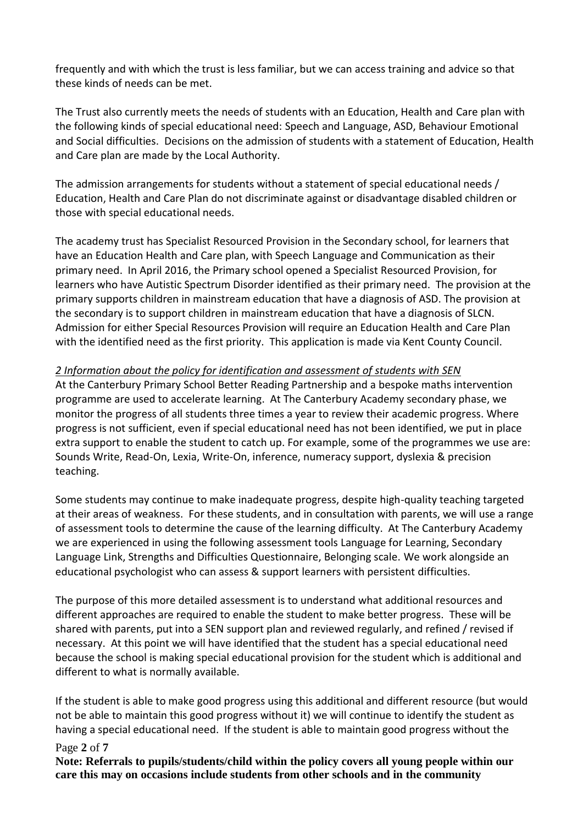frequently and with which the trust is less familiar, but we can access training and advice so that these kinds of needs can be met.

The Trust also currently meets the needs of students with an Education, Health and Care plan with the following kinds of special educational need: Speech and Language, ASD, Behaviour Emotional and Social difficulties. Decisions on the admission of students with a statement of Education, Health and Care plan are made by the Local Authority.

The admission arrangements for students without a statement of special educational needs / Education, Health and Care Plan do not discriminate against or disadvantage disabled children or those with special educational needs.

The academy trust has Specialist Resourced Provision in the Secondary school, for learners that have an Education Health and Care plan, with Speech Language and Communication as their primary need. In April 2016, the Primary school opened a Specialist Resourced Provision, for learners who have Autistic Spectrum Disorder identified as their primary need. The provision at the primary supports children in mainstream education that have a diagnosis of ASD. The provision at the secondary is to support children in mainstream education that have a diagnosis of SLCN. Admission for either Special Resources Provision will require an Education Health and Care Plan with the identified need as the first priority. This application is made via Kent County Council.

#### *2 Information about the policy for identification and assessment of students with SEN*

At the Canterbury Primary School Better Reading Partnership and a bespoke maths intervention programme are used to accelerate learning. At The Canterbury Academy secondary phase, we monitor the progress of all students three times a year to review their academic progress. Where progress is not sufficient, even if special educational need has not been identified, we put in place extra support to enable the student to catch up. For example, some of the programmes we use are: Sounds Write, Read-On, Lexia, Write-On, inference, numeracy support, dyslexia & precision teaching.

Some students may continue to make inadequate progress, despite high-quality teaching targeted at their areas of weakness. For these students, and in consultation with parents, we will use a range of assessment tools to determine the cause of the learning difficulty. At The Canterbury Academy we are experienced in using the following assessment tools Language for Learning, Secondary Language Link, Strengths and Difficulties Questionnaire, Belonging scale. We work alongside an educational psychologist who can assess & support learners with persistent difficulties.

The purpose of this more detailed assessment is to understand what additional resources and different approaches are required to enable the student to make better progress. These will be shared with parents, put into a SEN support plan and reviewed regularly, and refined / revised if necessary. At this point we will have identified that the student has a special educational need because the school is making special educational provision for the student which is additional and different to what is normally available.

If the student is able to make good progress using this additional and different resource (but would not be able to maintain this good progress without it) we will continue to identify the student as having a special educational need. If the student is able to maintain good progress without the

#### Page **2** of **7**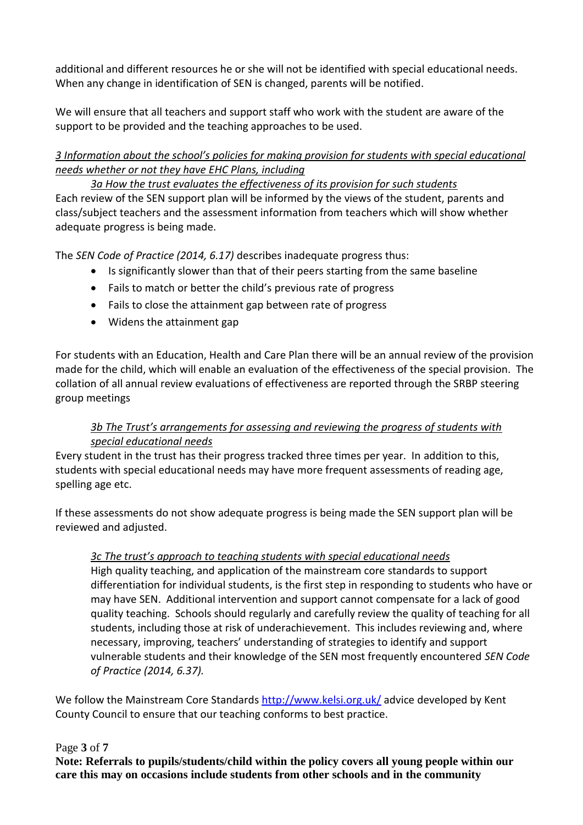additional and different resources he or she will not be identified with special educational needs. When any change in identification of SEN is changed, parents will be notified.

We will ensure that all teachers and support staff who work with the student are aware of the support to be provided and the teaching approaches to be used.

# *3 Information about the school's policies for making provision for students with special educational needs whether or not they have EHC Plans, including*

*3a How the trust evaluates the effectiveness of its provision for such students* Each review of the SEN support plan will be informed by the views of the student, parents and class/subject teachers and the assessment information from teachers which will show whether adequate progress is being made.

The *SEN Code of Practice (2014, 6.17)* describes inadequate progress thus:

- Is significantly slower than that of their peers starting from the same baseline
- Fails to match or better the child's previous rate of progress
- Fails to close the attainment gap between rate of progress
- Widens the attainment gap

For students with an Education, Health and Care Plan there will be an annual review of the provision made for the child, which will enable an evaluation of the effectiveness of the special provision. The collation of all annual review evaluations of effectiveness are reported through the SRBP steering group meetings

# *3b The Trust's arrangements for assessing and reviewing the progress of students with special educational needs*

Every student in the trust has their progress tracked three times per year. In addition to this, students with special educational needs may have more frequent assessments of reading age, spelling age etc.

If these assessments do not show adequate progress is being made the SEN support plan will be reviewed and adjusted.

# *3c The trust's approach to teaching students with special educational needs*

High quality teaching, and application of the mainstream core standards to support differentiation for individual students, is the first step in responding to students who have or may have SEN. Additional intervention and support cannot compensate for a lack of good quality teaching. Schools should regularly and carefully review the quality of teaching for all students, including those at risk of underachievement. This includes reviewing and, where necessary, improving, teachers' understanding of strategies to identify and support vulnerable students and their knowledge of the SEN most frequently encountered *SEN Code of Practice (2014, 6.37).*

We follow the Mainstream Core Standards<http://www.kelsi.org.uk/> advice developed by Kent County Council to ensure that our teaching conforms to best practice.

# Page **3** of **7**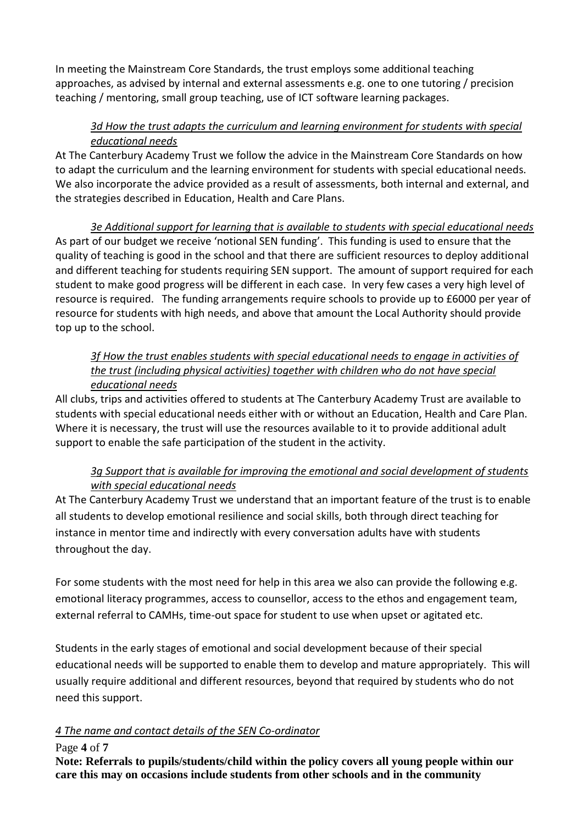In meeting the Mainstream Core Standards, the trust employs some additional teaching approaches, as advised by internal and external assessments e.g. one to one tutoring / precision teaching / mentoring, small group teaching, use of ICT software learning packages.

# *3d How the trust adapts the curriculum and learning environment for students with special educational needs*

At The Canterbury Academy Trust we follow the advice in the Mainstream Core Standards on how to adapt the curriculum and the learning environment for students with special educational needs. We also incorporate the advice provided as a result of assessments, both internal and external, and the strategies described in Education, Health and Care Plans.

*3e Additional support for learning that is available to students with special educational needs* As part of our budget we receive 'notional SEN funding'. This funding is used to ensure that the quality of teaching is good in the school and that there are sufficient resources to deploy additional and different teaching for students requiring SEN support. The amount of support required for each student to make good progress will be different in each case. In very few cases a very high level of resource is required. The funding arrangements require schools to provide up to £6000 per year of resource for students with high needs, and above that amount the Local Authority should provide top up to the school.

# *3f How the trust enables students with special educational needs to engage in activities of the trust (including physical activities) together with children who do not have special educational needs*

All clubs, trips and activities offered to students at The Canterbury Academy Trust are available to students with special educational needs either with or without an Education, Health and Care Plan. Where it is necessary, the trust will use the resources available to it to provide additional adult support to enable the safe participation of the student in the activity.

# *3g Support that is available for improving the emotional and social development of students with special educational needs*

At The Canterbury Academy Trust we understand that an important feature of the trust is to enable all students to develop emotional resilience and social skills, both through direct teaching for instance in mentor time and indirectly with every conversation adults have with students throughout the day.

For some students with the most need for help in this area we also can provide the following e.g. emotional literacy programmes, access to counsellor, access to the ethos and engagement team, external referral to CAMHs, time-out space for student to use when upset or agitated etc.

Students in the early stages of emotional and social development because of their special educational needs will be supported to enable them to develop and mature appropriately. This will usually require additional and different resources, beyond that required by students who do not need this support.

# *4 The name and contact details of the SEN Co-ordinator*

# Page **4** of **7**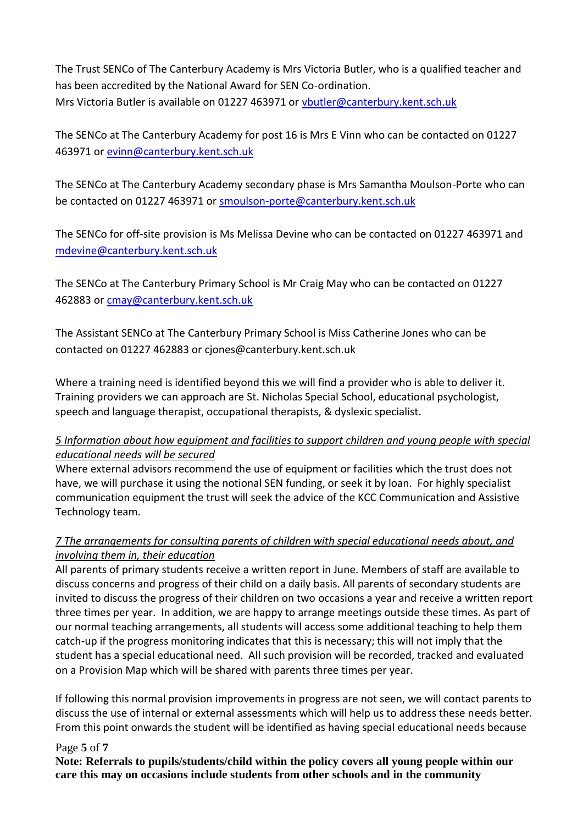The Trust SENCo of The Canterbury Academy is Mrs Victoria Butler, who is a qualified teacher and has been accredited by the National Award for SEN Co-ordination. Mrs Victoria Butler is available on 01227 463971 or [vbutler@canterbury.kent.sch.uk](mailto:vbutler@canterbury.kent.sch.uk)

The SENCo at The Canterbury Academy for post 16 is Mrs E Vinn who can be contacted on 01227 463971 or [evinn@canterbury.kent.sch.uk](mailto:evinn@canterbury.kent.sch.uk)

The SENCo at The Canterbury Academy secondary phase is Mrs Samantha Moulson-Porte who can be contacted on 01227 463971 or [smoulson-porte@canterbury.kent.sch.uk](mailto:smoulson-porte@canterbury.kent.sch.uk)

The SENCo for off-site provision is Ms Melissa Devine who can be contacted on 01227 463971 and [mdevine@canterbury.kent.sch.uk](mailto:mdevine@canterbury.kent.sch.uk)

The SENCo at The Canterbury Primary School is Mr Craig May who can be contacted on 01227 462883 or [cmay@canterbury.kent.sch.uk](mailto:cmay@canterbury.kent.sch.uk)

The Assistant SENCo at The Canterbury Primary School is Miss Catherine Jones who can be contacted on 01227 462883 or cjones@canterbury.kent.sch.uk

Where a training need is identified beyond this we will find a provider who is able to deliver it. Training providers we can approach are St. Nicholas Special School, educational psychologist, speech and language therapist, occupational therapists, & dyslexic specialist.

# *5 Information about how equipment and facilities to support children and young people with special educational needs will be secured*

Where external advisors recommend the use of equipment or facilities which the trust does not have, we will purchase it using the notional SEN funding, or seek it by loan. For highly specialist communication equipment the trust will seek the advice of the KCC Communication and Assistive Technology team.

# *7 The arrangements for consulting parents of children with special educational needs about, and involving them in, their education*

All parents of primary students receive a written report in June. Members of staff are available to discuss concerns and progress of their child on a daily basis. All parents of secondary students are invited to discuss the progress of their children on two occasions a year and receive a written report three times per year. In addition, we are happy to arrange meetings outside these times. As part of our normal teaching arrangements, all students will access some additional teaching to help them catch-up if the progress monitoring indicates that this is necessary; this will not imply that the student has a special educational need. All such provision will be recorded, tracked and evaluated on a Provision Map which will be shared with parents three times per year.

If following this normal provision improvements in progress are not seen, we will contact parents to discuss the use of internal or external assessments which will help us to address these needs better. From this point onwards the student will be identified as having special educational needs because

#### Page **5** of **7**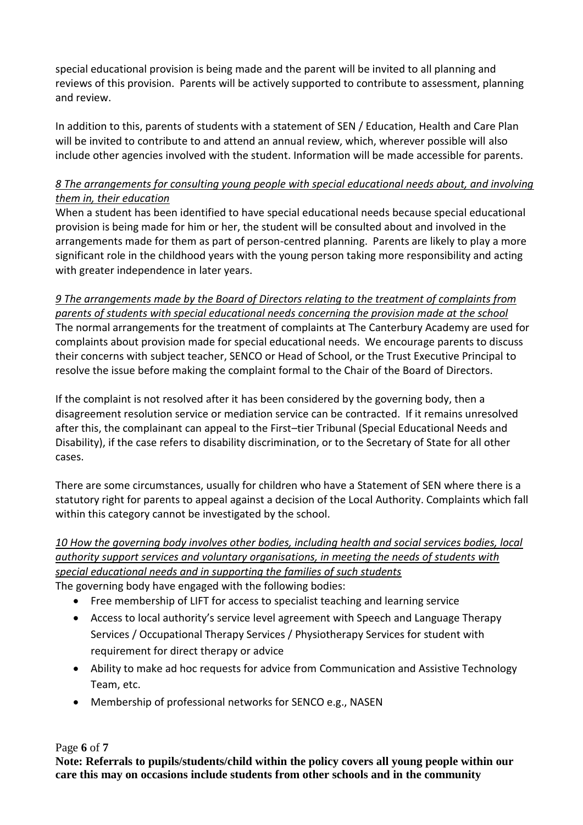special educational provision is being made and the parent will be invited to all planning and reviews of this provision. Parents will be actively supported to contribute to assessment, planning and review.

In addition to this, parents of students with a statement of SEN / Education, Health and Care Plan will be invited to contribute to and attend an annual review, which, wherever possible will also include other agencies involved with the student. Information will be made accessible for parents.

#### *8 The arrangements for consulting young people with special educational needs about, and involving them in, their education*

When a student has been identified to have special educational needs because special educational provision is being made for him or her, the student will be consulted about and involved in the arrangements made for them as part of person-centred planning. Parents are likely to play a more significant role in the childhood years with the young person taking more responsibility and acting with greater independence in later years.

*9 The arrangements made by the Board of Directors relating to the treatment of complaints from parents of students with special educational needs concerning the provision made at the school* The normal arrangements for the treatment of complaints at The Canterbury Academy are used for complaints about provision made for special educational needs. We encourage parents to discuss their concerns with subject teacher, SENCO or Head of School, or the Trust Executive Principal to resolve the issue before making the complaint formal to the Chair of the Board of Directors.

If the complaint is not resolved after it has been considered by the governing body, then a disagreement resolution service or mediation service can be contracted. If it remains unresolved after this, the complainant can appeal to the First–tier Tribunal (Special Educational Needs and Disability), if the case refers to disability discrimination, or to the Secretary of State for all other cases.

There are some circumstances, usually for children who have a Statement of SEN where there is a statutory right for parents to appeal against a decision of the Local Authority. Complaints which fall within this category cannot be investigated by the school.

# *10 How the governing body involves other bodies, including health and social services bodies, local authority support services and voluntary organisations, in meeting the needs of students with special educational needs and in supporting the families of such students*

The governing body have engaged with the following bodies:

- Free membership of LIFT for access to specialist teaching and learning service
- Access to local authority's service level agreement with Speech and Language Therapy Services / Occupational Therapy Services / Physiotherapy Services for student with requirement for direct therapy or advice
- Ability to make ad hoc requests for advice from Communication and Assistive Technology Team, etc.
- Membership of professional networks for SENCO e.g., NASEN

#### Page **6** of **7**